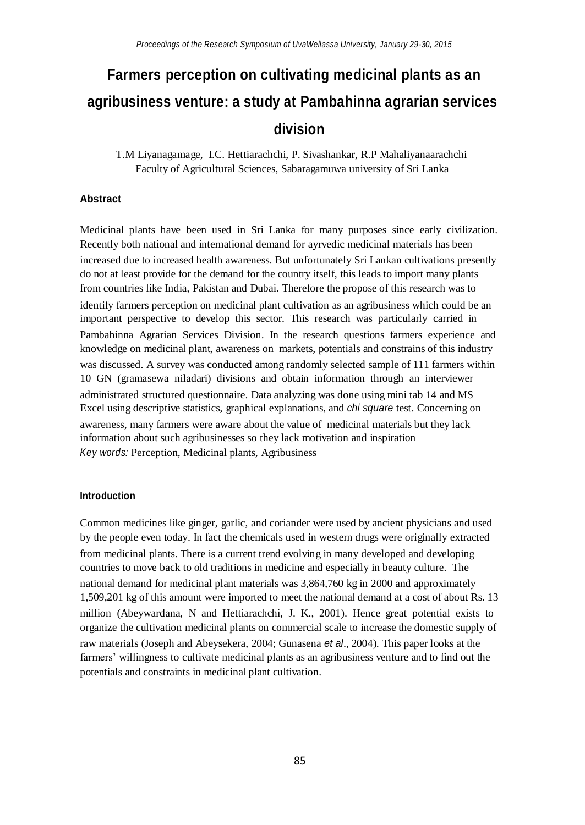# **Farmers perception on cultivating medicinal plants as an agribusiness venture: a study at Pambahinna agrarian services division**

T.M Liyanagamage, I.C. Hettiarachchi, P. Sivashankar, R.P Mahaliyanaarachchi Faculty of Agricultural Sciences, Sabaragamuwa university of Sri Lanka

#### **Abstract**

Medicinal plants have been used in Sri Lanka for many purposes since early civilization. Recently both national and international demand for ayrvedic medicinal materials has been increased due to increased health awareness. But unfortunately Sri Lankan cultivations presently do not at least provide for the demand for the country itself, this leads to import many plants from countries like India, Pakistan and Dubai. Therefore the propose of this research was to identify farmers perception on medicinal plant cultivation as an agribusiness which could be an important perspective to develop this sector. This research was particularly carried in Pambahinna Agrarian Services Division. In the research questions farmers experience and knowledge on medicinal plant, awareness on markets, potentials and constrains of this industry was discussed. A survey was conducted among randomly selected sample of 111 farmers within 10 GN (gramasewa niladari) divisions and obtain information through an interviewer administrated structured questionnaire. Data analyzing was done using mini tab 14 and MS Excel using descriptive statistics, graphical explanations, and *chi square* test. Concerning on awareness, many farmers were aware about the value of medicinal materials but they lack information about such agribusinesses so they lack motivation and inspiration *Key words:* Perception, Medicinal plants, Agribusiness

#### **Introduction**

Common medicines like ginger, garlic, and coriander were used by ancient physicians and used by the people even today. In fact the chemicals used in western drugs were originally extracted from medicinal plants. There is a current trend evolving in many developed and developing countries to move back to old traditions in medicine and especially in beauty culture. The national demand for medicinal plant materials was 3,864,760 kg in 2000 and approximately 1,509,201 kg of this amount were imported to meet the national demand at a cost of about Rs. 13 million (Abeywardana, N and Hettiarachchi, J. K., 2001). Hence great potential exists to organize the cultivation medicinal plants on commercial scale to increase the domestic supply of raw materials (Joseph and Abeysekera, 2004; Gunasena *et al*., 2004). This paper looks at the farmers' willingness to cultivate medicinal plants as an agribusiness venture and to find out the potentials and constraints in medicinal plant cultivation.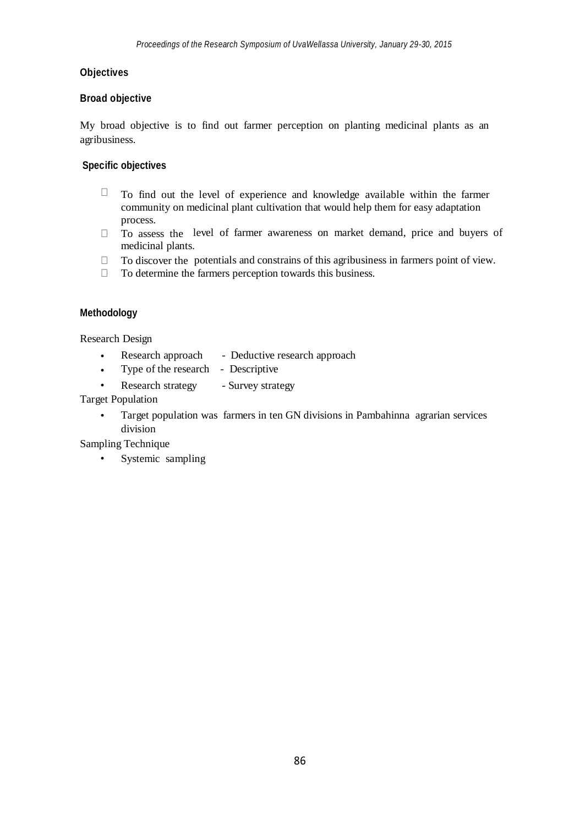# **Objectives**

#### **Broad objective**

My broad objective is to find out farmer perception on planting medicinal plants as an agribusiness.

#### **Specific objectives**

- $\Box$ To find out the level of experience and knowledge available within the farmer community on medicinal plant cultivation that would help them for easy adaptation process.
- To assess the level of farmer awareness on market demand, price and buyers of medicinal plants.
- To discover the potentials and constrains of this agribusiness in farmers point of view.
- $\Box$  To determine the farmers perception towards this business.

#### **Methodology**

Research Design

- Research approach - Deductive research approach
- Type of the research - Descriptive
- Research strategy - Survey strategy

Target Population

• Target population was farmers in ten GN divisions in Pambahinna agrarian services division

Sampling Technique

• Systemic sampling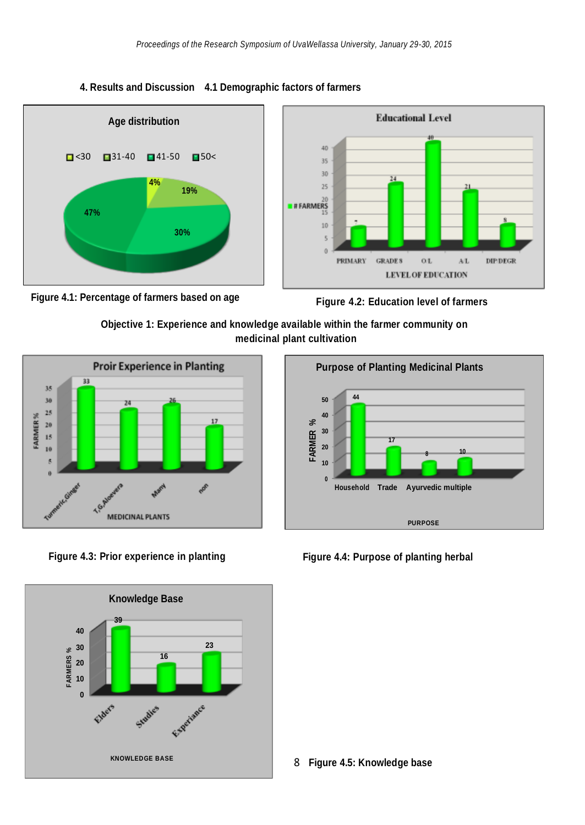





**Objective 1: Experience and knowledge available within the farmer community on medicinal plant cultivation**





**Figure 4.3: Prior experience in planting Figure 4.4: Purpose of planting herbal**



**4. Results and Discussion 4.1 Demographic factors of farmers**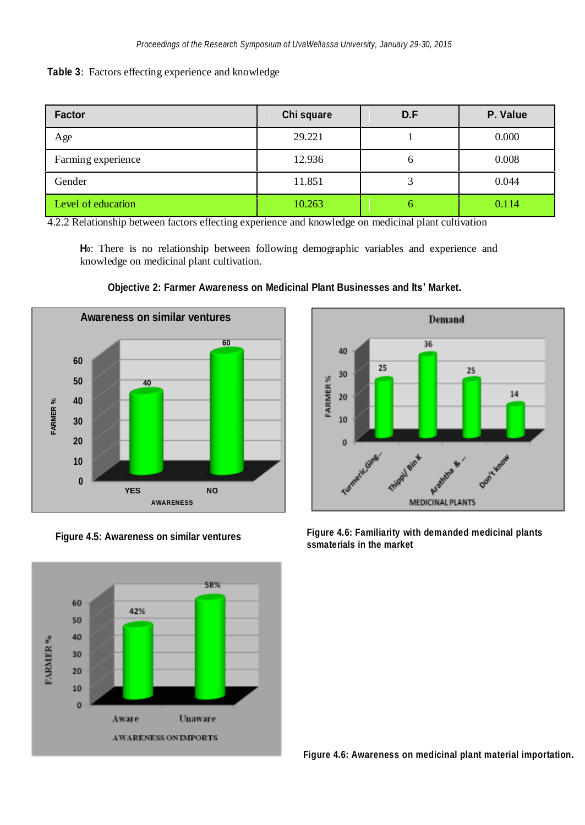|  |  |  | Table 3: Factors effecting experience and knowledge |  |  |
|--|--|--|-----------------------------------------------------|--|--|
|--|--|--|-----------------------------------------------------|--|--|

| <b>Factor</b>      | Chi square | D.F | P. Value |  |
|--------------------|------------|-----|----------|--|
| Age                | 29.221     |     | 0.000    |  |
| Farming experience | 12.936     | 6   | 0.008    |  |
| Gender             | 11.851     | 3   | 0.044    |  |
| Level of education | 10.263     |     | 0.114    |  |

4.2.2 Relationship between factors effecting experience and knowledge on medicinal plant cultivation

**H0**: There is no relationship between following demographic variables and experience and knowledge on medicinal plant cultivation.



**Objective 2: Farmer Awareness on Medicinal Plant Businesses and Its' Market.**



**Figure 4.5: Awareness on similar ventures** 



**Figure 4.6: Familiarity with demanded medicinal plants ssmaterials in the market**

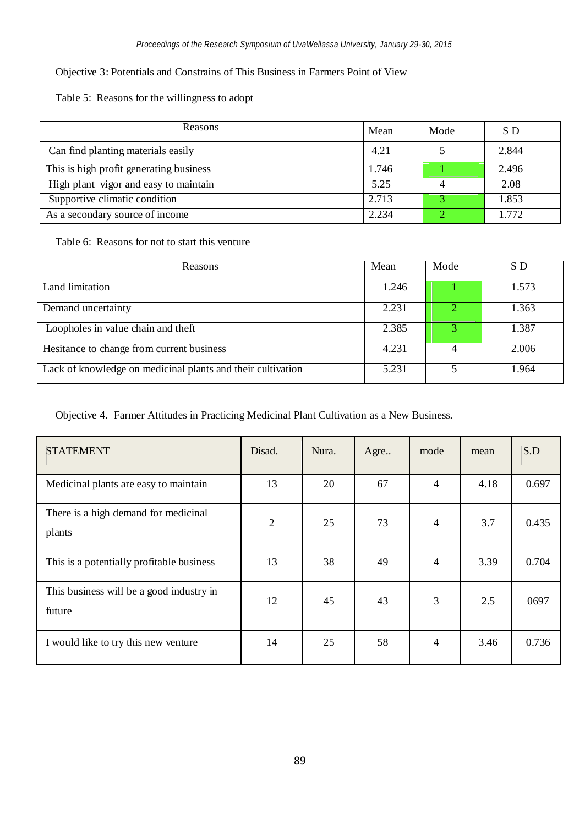# Objective 3: Potentials and Constrains of This Business in Farmers Point of View

Table 5: Reasons for the willingness to adopt

| Reasons                                 | Mean  | Mode | S D   |
|-----------------------------------------|-------|------|-------|
| Can find planting materials easily      | 4.21  |      | 2.844 |
| This is high profit generating business | 1.746 |      | 2.496 |
| High plant vigor and easy to maintain   | 5.25  |      | 2.08  |
| Supportive climatic condition           | 2.713 |      | 1.853 |
| As a secondary source of income         | 2.234 |      | 1.772 |

Table 6: Reasons for not to start this venture

| Reasons                                                     | Mean  | Mode | S D   |
|-------------------------------------------------------------|-------|------|-------|
| Land limitation                                             | 1.246 |      | 1.573 |
| Demand uncertainty                                          | 2.231 | O.   | 1.363 |
| Loopholes in value chain and theft                          | 2.385 |      | 1.387 |
| Hesitance to change from current business                   | 4.231 |      | 2.006 |
| Lack of knowledge on medicinal plants and their cultivation | 5.231 |      | 1.964 |

Objective 4. Farmer Attitudes in Practicing Medicinal Plant Cultivation as a New Business.

| <b>STATEMENT</b>                                   | Disad.         | Nura. | Agre | mode           | mean | S.D   |
|----------------------------------------------------|----------------|-------|------|----------------|------|-------|
| Medicinal plants are easy to maintain              | 13             | 20    | 67   | $\overline{4}$ | 4.18 | 0.697 |
| There is a high demand for medicinal<br>plants     | $\overline{2}$ | 25    | 73   | 4              | 3.7  | 0.435 |
| This is a potentially profitable business          | 13             | 38    | 49   | 4              | 3.39 | 0.704 |
| This business will be a good industry in<br>future | 12             | 45    | 43   | 3              | 2.5  | 0697  |
| I would like to try this new venture               | 14             | 25    | 58   | $\overline{4}$ | 3.46 | 0.736 |